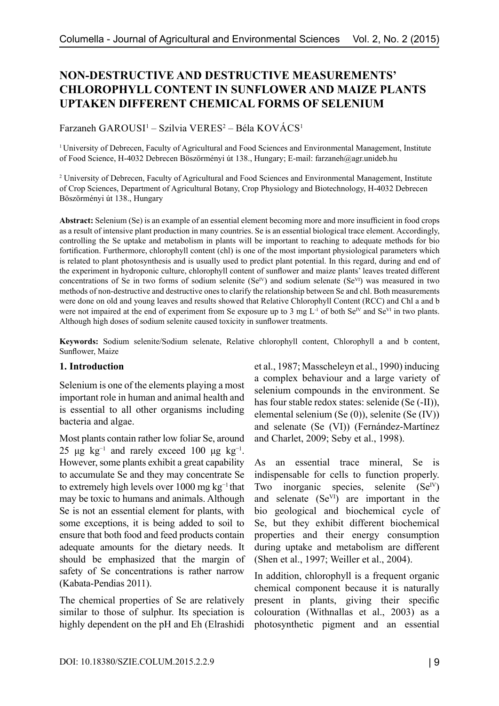# **NON-DESTRUCTIVE AND DESTRUCTIVE MEASUREMENTS' CHLOROPHYLL CONTENT IN SUNFLOWER AND MAIZE PLANTS UPTAKEN DIFFERENT CHEMICAL FORMS OF SELENIUM**

Farzaneh GAROUSI<sup>1</sup> – Szilvia VERES<sup>2</sup> – Béla KOVÁCS<sup>1</sup>

1 University of Debrecen, Faculty of Agricultural and Food Sciences and Environmental Management, Institute of Food Science, H-4032 Debrecen Böszörményi út 138., Hungary; E-mail: farzaneh@agr.unideb.hu

<sup>2</sup> University of Debrecen, Faculty of Agricultural and Food Sciences and Environmental Management, Institute of Crop Sciences, Department of Agricultural Botany, Crop Physiology and Biotechnology, H-4032 Debrecen Böszörményi út 138., Hungary

**Abstract:** Selenium (Se) is an example of an essential element becoming more and more insufficient in food crops as a result of intensive plant production in many countries. Se is an essential biological trace element. Accordingly, controlling the Se uptake and metabolism in plants will be important to reaching to adequate methods for bio fortification. Furthermore, chlorophyll content (chl) is one of the most important physiological parameters which is related to plant photosynthesis and is usually used to predict plant potential. In this regard, during and end of the experiment in hydroponic culture, chlorophyll content of sunflower and maize plants' leaves treated different concentrations of Se in two forms of sodium selenite (Se<sup>IV</sup>) and sodium selenate (Se<sup>VI</sup>) was measured in two methods of non-destructive and destructive ones to clarify the relationship between Se and chl. Both measurements were done on old and young leaves and results showed that Relative Chlorophyll Content (RCC) and Chl a and b were not impaired at the end of experiment from Se exposure up to 3 mg  $L^{-1}$  of both Se<sup>IV</sup> and Se<sup>VI</sup> in two plants. Although high doses of sodium selenite caused toxicity in sunflower treatments.

**Keywords:** Sodium selenite/Sodium selenate, Relative chlorophyll content, Chlorophyll a and b content, Sunflower, Maize

### **1. Introduction**

Selenium is one of the elements playing a most important role in human and animal health and is essential to all other organisms including bacteria and algae.

Most plants contain rather low foliar Se, around 25 μg kg<sup>-1</sup> and rarely exceed 100 μg kg<sup>-1</sup>. However, some plants exhibit a great capability to accumulate Se and they may concentrate Se to extremely high levels over 1000 mg kg−1 that may be toxic to humans and animals. Although Se is not an essential element for plants, with some exceptions, it is being added to soil to ensure that both food and feed products contain adequate amounts for the dietary needs. It should be emphasized that the margin of safety of Se concentrations is rather narrow (Kabata-Pendias 2011).

The chemical properties of Se are relatively similar to those of sulphur. Its speciation is highly dependent on the pH and Eh (Elrashidi et al., 1987; Masscheleyn et al., 1990) inducing a complex behaviour and a large variety of selenium compounds in the environment. Se has four stable redox states: selenide (Se (-II)), elemental selenium (Se (0)), selenite (Se (IV)) and selenate (Se (VI)) (Fernández-Martínez and Charlet, 2009; Seby et al., 1998).

As an essential trace mineral, Se is indispensable for cells to function properly. Two inorganic species, selenite  $(Se<sup>IV</sup>)$ and selenate (SeVI) are important in the bio geological and biochemical cycle of Se, but they exhibit different biochemical properties and their energy consumption during uptake and metabolism are different (Shen et al., 1997; Weiller et al., 2004).

In addition, chlorophyll is a frequent organic chemical component because it is naturally present in plants, giving their specific colouration (Withnallas et al., 2003) as a photosynthetic pigment and an essential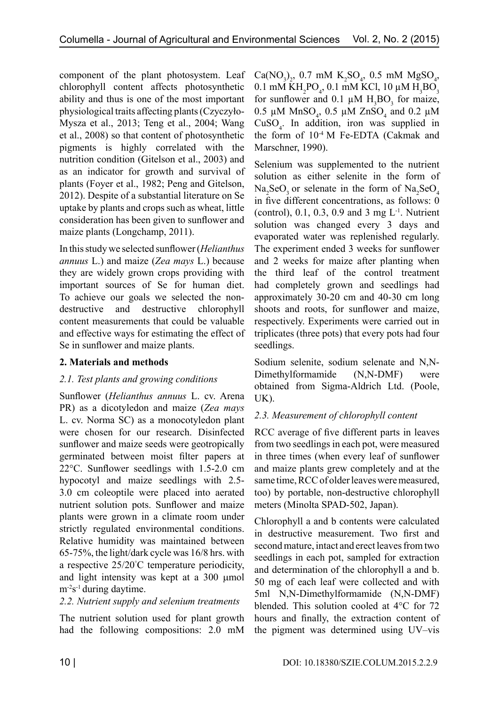component of the plant photosystem. Leaf chlorophyll content affects photosynthetic ability and thus is one of the most important physiological traits affecting plants (Czyczyło-Mysza et al., 2013; Teng et al., 2004; Wang et al., 2008) so that content of photosynthetic pigments is highly correlated with the nutrition condition (Gitelson et al., 2003) and as an indicator for growth and survival of plants (Foyer et al., 1982; Peng and Gitelson, 2012). Despite of a substantial literature on Se uptake by plants and crops such as wheat, little consideration has been given to sunflower and maize plants (Longchamp, 2011).

In this study we selected sunflower (*Helianthus annuus* L.) and maize (*Zea mays* L.) because they are widely grown crops providing with important sources of Se for human diet. To achieve our goals we selected the nondestructive and destructive chlorophyll content measurements that could be valuable and effective ways for estimating the effect of Se in sunflower and maize plants.

## **2. Materials and methods**

## *2.1. Test plants and growing conditions*

Sunflower (*Helianthus annuus* L. cv. Arena PR) as a dicotyledon and maize (*Zea mays*  L. cv. Norma SC) as a monocotyledon plant were chosen for our research. Disinfected sunflower and maize seeds were geotropically germinated between moist filter papers at 22°C. Sunflower seedlings with 1.5-2.0 cm hypocotyl and maize seedlings with 2.5- 3.0 cm coleoptile were placed into aerated nutrient solution pots. Sunflower and maize plants were grown in a climate room under strictly regulated environmental conditions. Relative humidity was maintained between 65-75%, the light/dark cycle was 16/8 hrs. with a respective 25/20° C temperature periodicity, and light intensity was kept at a 300 µmol  $m<sup>2</sup>s<sup>-1</sup>$  during daytime.

## *2.2. Nutrient supply and selenium treatments*

The nutrient solution used for plant growth had the following compositions: 2.0 mM

 $Ca(NO<sub>3</sub>)<sub>2</sub>$ , 0.7 mM  $K<sub>2</sub>SO<sub>4</sub>$ , 0.5 mM  $MgSO<sub>4</sub>$ ,  $0.1 \text{ mM KH}_2$ PO<sub>4</sub>, 0.1 mM KCl, 10 μM H<sub>3</sub>BO<sub>3</sub> for sunflower and 0.1  $\mu$ M H<sub>3</sub>BO<sub>3</sub> for maize, 0.5  $\mu$ M MnSO<sub>4</sub>, 0.5  $\mu$ M ZnSO<sub>4</sub> and 0.2  $\mu$ M  $CuSO<sub>4</sub>$ . In addition, iron was supplied in the form of 10-4 M Fe-EDTA (Cakmak and Marschner, 1990).

Selenium was supplemented to the nutrient solution as either selenite in the form of  $Na<sub>2</sub>SeO<sub>3</sub>$  or selenate in the form of  $Na<sub>2</sub>SeO<sub>4</sub>$ in five different concentrations, as follows: 0 (control), 0.1, 0.3, 0.9 and 3 mg  $L^{-1}$ . Nutrient solution was changed every 3 days and evaporated water was replenished regularly. The experiment ended 3 weeks for sunflower and 2 weeks for maize after planting when the third leaf of the control treatment had completely grown and seedlings had approximately 30-20 cm and 40-30 cm long shoots and roots, for sunflower and maize, respectively. Experiments were carried out in triplicates (three pots) that every pots had four seedlings.

Sodium selenite, sodium selenate and N,N-Dimethylformamide (N,N-DMF) were obtained from Sigma-Aldrich Ltd. (Poole, UK).

## *2.3. Measurement of chlorophyll content*

RCC average of five different parts in leaves from two seedlings in each pot, were measured in three times (when every leaf of sunflower and maize plants grew completely and at the same time, RCC of older leaves were measured, too) by portable, non-destructive chlorophyll meters (Minolta SPAD-502, Japan).

Chlorophyll a and b contents were calculated in destructive measurement. Two first and second mature, intact and erect leaves from two seedlings in each pot, sampled for extraction and determination of the chlorophyll a and b. 50 mg of each leaf were collected and with 5ml N,N-Dimethylformamide (N,N-DMF) blended. This solution cooled at 4°C for 72 hours and finally, the extraction content of the pigment was determined using UV–vis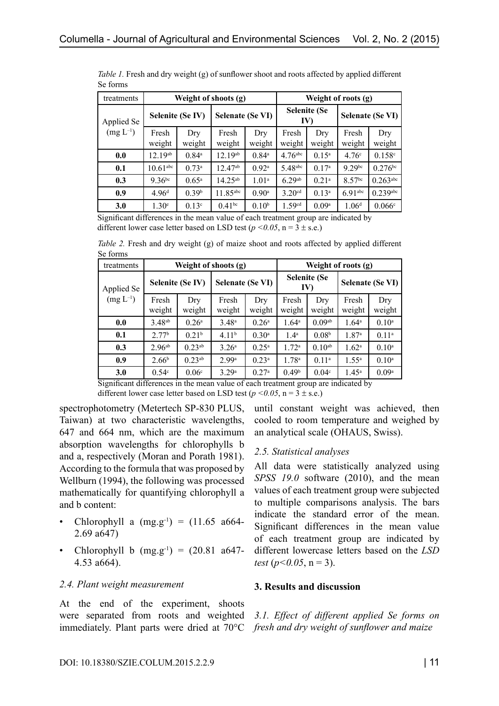| treatments                  |                        |                   | Weight of shoots (g)    |                     | Weight of roots (g)                    |                   |                         |                        |
|-----------------------------|------------------------|-------------------|-------------------------|---------------------|----------------------------------------|-------------------|-------------------------|------------------------|
| Applied Se<br>$(mg L^{-1})$ | Selenite (Se IV)       |                   | <b>Selenate (Se VI)</b> |                     | <b>Selenite (Se</b><br>IV <sub>1</sub> |                   | <b>Selenate (Se VI)</b> |                        |
|                             | Fresh<br>weight        | Dry<br>weight     | Fresh<br>weight         | Dry<br>weight       | Fresh<br>weight                        | Dry<br>weight     | Fresh<br>weight         | Dry<br>weight          |
| 0.0                         | $12.19^{ab}$           | $0.84^{\circ}$    | $12.19^{ab}$            | $0.84^{\circ}$      | $4.76$ abc                             | $0.15^{\rm a}$    | 4.76 <sup>c</sup>       | 0.158c                 |
| 0.1                         | $10.61$ <sup>abc</sup> | 0.73a             | $12.47^{ab}$            | $0.92^{\rm a}$      | 5.48abc                                | 0.17 <sup>a</sup> | $9.29$ bc               | $0.276^{bc}$           |
| 0.3                         | $9.36^{bc}$            | $0.65^{\rm a}$    | $14.25^{ab}$            | 1.01 <sup>a</sup>   | 6.29ab                                 | $0.21^{\rm a}$    | 8.57 <sup>bc</sup>      | $0.263$ <sup>abc</sup> |
| 0.9                         | 4.96 <sup>d</sup>      | 0.39 <sup>b</sup> | $11.85$ <sup>abc</sup>  | $0.90$ <sup>a</sup> | 3.20 <sup>cd</sup>                     | $0.13^a$          | $6.91$ <sup>abc</sup>   | $0.239$ abc            |
| 3.0                         | 1.30 <sup>e</sup>      | 0.13 <sup>c</sup> | $0.41^{bc}$             | 0.10 <sup>b</sup>   | 1.59 <sup>cd</sup>                     | 0.09 <sup>a</sup> | 1.06 <sup>d</sup>       | 0.066c                 |

*Table 1*. Fresh and dry weight (g) of sunflower shoot and roots affected by applied different Se forms

Significant differences in the mean value of each treatment group are indicated by different lower case letter based on LSD test ( $p < 0.05$ ,  $n = 3 \pm s.e.$ )

*Table 2.* Fresh and dry weight (g) of maize shoot and roots affected by applied different Se forms

| treatments                                                                         | Weight of shoots (g) |                      |                         |                | Weight of roots (g)        |                    |                   |                   |  |
|------------------------------------------------------------------------------------|----------------------|----------------------|-------------------------|----------------|----------------------------|--------------------|-------------------|-------------------|--|
| Applied Se<br>$(mg L^{-1})$                                                        | Selenite (Se IV)     |                      | <b>Selenate (Se VI)</b> |                | <b>Selenite (Se</b><br>IV) |                    | Selenate (Se VI)  |                   |  |
|                                                                                    | Fresh<br>weight      | Dry<br>weight        | Fresh<br>weight         | Dry<br>weight  | Fresh<br>weight            | Dry<br>weight      | Fresh<br>weight   | Dry<br>weight     |  |
| 0.0                                                                                | 3.48 <sup>ab</sup>   | $0.26^{\rm a}$       | 3.48 <sup>a</sup>       | $0.26^{\rm a}$ | $1.64^{\circ}$             | 0.09 <sub>ab</sub> | $1.64^{\circ}$    | $0.10^{a}$        |  |
| 0.1                                                                                | 2.77 <sup>b</sup>    | 0.21 <sup>b</sup>    | 4.11 <sup>b</sup>       | $0.30^{\rm a}$ | 1.4 <sup>a</sup>           | 0.08 <sup>b</sup>  | 1.87 <sup>a</sup> | $0.11^{a}$        |  |
| 0.3                                                                                | 2.96 <sup>ab</sup>   | $0.23$ <sup>ab</sup> | 3.26 <sup>a</sup>       | $0.25^{\rm a}$ | 1.72 <sup>a</sup>          | $0.10^{ab}$        | 1.62 <sup>a</sup> | $0.10^{a}$        |  |
| 0.9                                                                                | 2.66 <sup>b</sup>    | $0.23^{ab}$          | 2.99 <sup>a</sup>       | $0.23^{\rm a}$ | 1.78 <sup>a</sup>          | $0.11^{a}$         | $1.55^{\rm a}$    | $0.10^{a}$        |  |
| 3.0                                                                                | 0.54 <sup>c</sup>    | 0.06 <sup>c</sup>    | 3.29a                   | $0.27^{\rm a}$ | 0.49 <sup>b</sup>          | 0.04 <sup>c</sup>  | $1.45^{\circ}$    | 0.09 <sup>a</sup> |  |
| Significant differences in the mean value of each treatment group are indicated by |                      |                      |                         |                |                            |                    |                   |                   |  |

different lower case letter based on LSD test ( $p \le 0.05$ ,  $n = 3 \pm s.e.$ )

spectrophotometry (Metertech SP-830 PLUS, Taiwan) at two characteristic wavelengths, 647 and 664 nm, which are the maximum absorption wavelengths for chlorophylls b and a, respectively (Moran and Porath 1981). According to the formula that was proposed by Wellburn (1994), the following was processed mathematically for quantifying chlorophyll a and b content:

- Chlorophyll a  $(mg.g^{-1}) = (11.65 \text{ a}664$ -2.69 a647)
- Chlorophyll b  $(mg.g^{-1}) = (20.81 \text{ a}647$ -4.53 a664).

## *2.4. Plant weight measurement*

At the end of the experiment, shoots were separated from roots and weighted immediately. Plant parts were dried at 70°C *fresh and dry weight of sunflower and maize*

until constant weight was achieved, then cooled to room temperature and weighed by an analytical scale (OHAUS, Swiss).

## *2.5. Statistical analyses*

All data were statistically analyzed using *SPSS 19.0* software (2010), and the mean values of each treatment group were subjected to multiple comparisons analysis. The bars indicate the standard error of the mean. Significant differences in the mean value of each treatment group are indicated by different lowercase letters based on the *LSD test* ( $p$ <0.05,  $n = 3$ ).

## **3. Results and discussion**

*3.1. Effect of different applied Se forms on*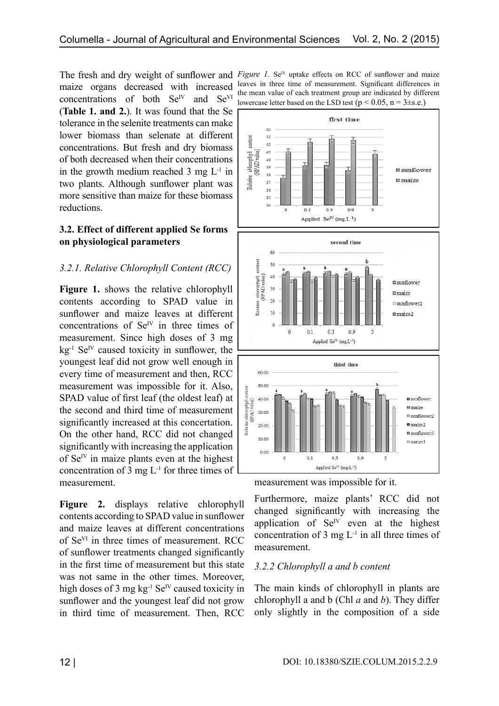concentrations of both  $Se<sup>IV</sup>$  and  $Se<sup>VI</sup>$ (**Table 1. and 2.**). It was found that the Se tolerance in the selenite treatments can make lower biomass than selenate at different concentrations. But fresh and dry biomass of both decreased when their concentrations in the growth medium reached  $3 \text{ mg } L^{-1}$  in two plants. Although sunflower plant was more sensitive than maize for these biomass reductions.

### **3.2. Effect of different applied Se forms on physiological parameters**

## *3.2.1. Relative Chlorophyll Content (RCC)*

**Figure 1.** shows the relative chlorophyll contents according to SPAD value in sunflower and maize leaves at different concentrations of  $Se<sup>IV</sup>$  in three times of measurement. Since high doses of 3 mg  $kg<sup>-1</sup> Se<sup>IV</sup> caused toxicity in sunflower, the$ youngest leaf did not grow well enough in every time of measurement and then, RCC measurement was impossible for it. Also, SPAD value of first leaf (the oldest leaf) at the second and third time of measurement significantly increased at this concertation. On the other hand, RCC did not changed significantly with increasing the application of  $Se^{IV}$  in maize plants even at the highest concentration of 3 mg  $L^{-1}$  for three times of measurement.

**Figure 2.** displays relative chlorophyll contents according to SPAD value in sunflower and maize leaves at different concentrations of SeVI in three times of measurement. RCC of sunflower treatments changed significantly in the first time of measurement but this state was not same in the other times. Moreover, high doses of 3 mg  $kg^{-1}$  Se<sup>IV</sup> caused toxicity in sunflower and the youngest leaf did not grow in third time of measurement. Then, RCC

The fresh and dry weight of sunflower and *Figure 1*. Se<sup>IV</sup> uptake effects on RCC of sunflower and maize maize organs decreased with increased leaves in three time of measurement. Significant differences in the mean value of each treatment group are indicated by different lowercase letter based on the LSD test ( $p < 0.05$ ,  $n = 3 \pm s.e.$ )



measurement was impossible for it.

Furthermore, maize plants' RCC did not changed significantly with increasing the application of  $Se<sup>N</sup>$  even at the highest concentration of 3 mg  $L^{-1}$  in all three times of measurement.

## *3.2.2 Chlorophyll a and b content*

The main kinds of chlorophyll in plants are chlorophyll a and b (Chl *a* and *b*). They differ only slightly in the composition of a side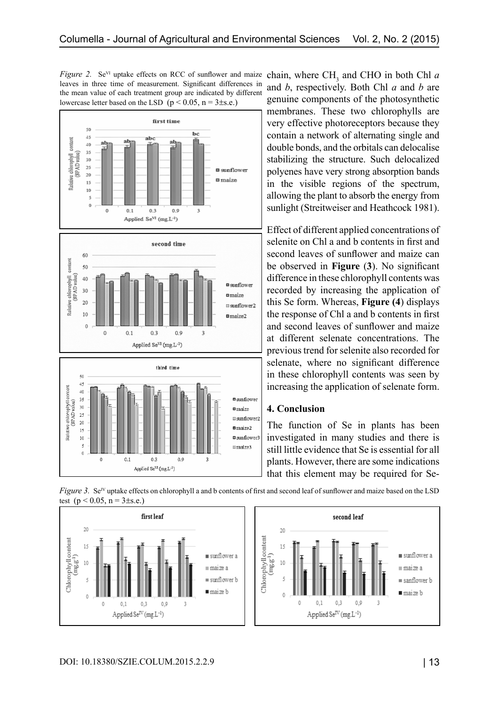*Figure 2.* Se<sup>VI</sup> uptake effects on RCC of sunflower and maize leaves in three time of measurement. Significant differences in the mean value of each treatment group are indicated by different lowercase letter based on the LSD ( $p < 0.05$ ,  $n = 3 \pm s.e.$ )







chain, where  $CH_3$  and CHO in both Chl  $a$ and *b*, respectively. Both Chl *a* and *b* are genuine components of the photosynthetic membranes. These two chlorophylls are very effective photoreceptors because they contain a network of alternating single and double bonds, and the orbitals can delocalise stabilizing the structure. Such delocalized polyenes have very strong absorption bands in the visible regions of the spectrum, allowing the plant to absorb the energy from sunlight (Streitweiser and Heathcock 1981).

Effect of different applied concentrations of selenite on Chl a and b contents in first and second leaves of sunflower and maize can be observed in **Figure** (**3**). No significant difference in these chlorophyll contents was recorded by increasing the application of this Se form. Whereas, **Figure (4**) displays the response of Chl a and b contents in first and second leaves of sunflower and maize at different selenate concentrations. The previous trend for selenite also recorded for selenate, where no significant difference in these chlorophyll contents was seen by increasing the application of selenate form.

### **4. Conclusion**

The function of Se in plants has been investigated in many studies and there is still little evidence that Se is essential for all plants. However, there are some indications that this element may be required for Se-



*Figure 3.* Se<sup>IV</sup> uptake effects on chlorophyll a and b contents of first and second leaf of sunflower and maize based on the LSD test ( $p < 0.05$ ,  $n = 3 \pm s.e.$ )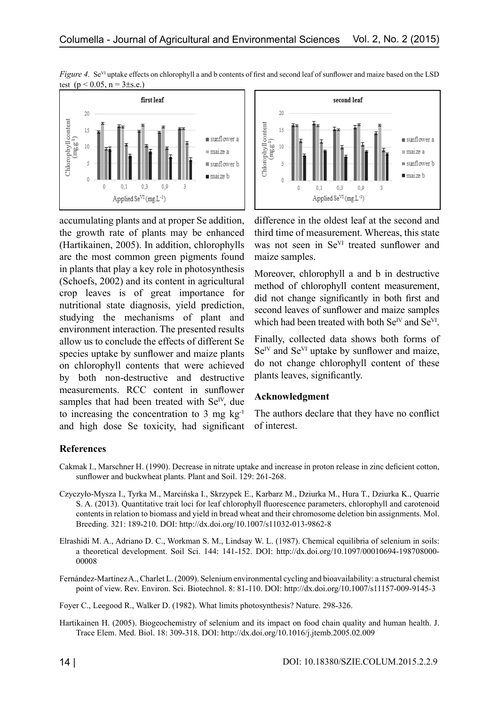

*Figure 4.* Se<sup>VI</sup> uptake effects on chlorophyll a and b contents of first and second leaf of sunflower and maize based on the LSD test  $(p < 0.05, n = 3 \pm s.e.)$ 

accumulating plants and at proper Se addition, the growth rate of plants may be enhanced (Hartikainen, 2005). In addition, chlorophylls are the most common green pigments found in plants that play a key role in photosynthesis (Schoefs, 2002) and its content in agricultural crop leaves is of great importance for nutritional state diagnosis, yield prediction, studying the mechanisms of plant and environment interaction. The presented results allow us to conclude the effects of different Se species uptake by sunflower and maize plants on chlorophyll contents that were achieved by both non-destructive and destructive measurements. RCC content in sunflower samples that had been treated with  $Se<sup>IV</sup>$ , due to increasing the concentration to 3 mg  $kg<sup>-1</sup>$ and high dose Se toxicity, had significant



difference in the oldest leaf at the second and third time of measurement. Whereas, this state was not seen in Se<sup>VI</sup> treated sunflower and maize samples.

Moreover, chlorophyll a and b in destructive method of chlorophyll content measurement, did not change significantly in both first and second leaves of sunflower and maize samples which had been treated with both Se<sup>IV</sup> and Se<sup>VI</sup>.

Finally, collected data shows both forms of  $Se<sup>IV</sup>$  and  $Se<sup>VI</sup>$  uptake by sunflower and maize, do not change chlorophyll content of these plants leaves, significantly.

### **Acknowledgment**

The authors declare that they have no conflict of interest.

## **References**

- Cakmak I., Marschner H. (1990). Decrease in nitrate uptake and increase in proton release in zinc deficient cotton, sunflower and buckwheat plants. Plant and Soil. 129: 261-268.
- Czyczyło-Mysza I., Tyrka M., Marcińska I., Skrzypek E., Karbarz M., Dziurka M., Hura T., Dziurka K., Quarrie S. A. (2013). Quantitative trait loci for leaf chlorophyll fluorescence parameters, chlorophyll and carotenoid contents in relation to biomass and yield in bread wheat and their chromosome deletion bin assignments. Mol. Breeding. 321: 189-210. DOI: http://dx.doi.org/10.1007/s11032-013-9862-8
- Elrashidi M. A., Adriano D. C., Workman S. M., Lindsay W. L. (1987). Chemical equilibria of selenium in soils: a theoretical development. Soil Sci. 144: 141-152. DOI: http://dx.doi.org/10.1097/00010694-198708000-00008
- Fernández-Martínez A., Charlet L. (2009). Selenium environmental cycling and bioavailability: a structural chemist point of view. Rev. Environ. Sci. Biotechnol. 8: 81-110. DOI: http://dx.doi.org/10.1007/s11157-009-9145-3

Foyer C., Leegood R., Walker D. (1982). What limits photosynthesis? Nature. 298-326.

Hartikainen H. (2005). Biogeochemistry of selenium and its impact on food chain quality and human health. J. Trace Elem. Med. Biol. 18: 309˗318. DOI: http://dx.doi.org/10.1016/j.jtemb.2005.02.009